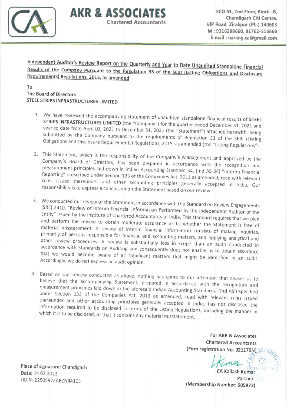

SCO 51, 2nd Floor, Block -B, Chandigarh Citi Centre, VIP Road, Zirakpur (Pb.) 140603 M: 9316288660, 01762-516660 E-mail : narang.ca@gmail.com

Independent Auditor's Review Report on the Quarterly and Year to Date Unaudited Standalone Financial Results of the Company Pursuant to the Regulation 33 of the SEBI (Listing Obligations and Disclosure Requirements) Regulations, 2015, as amended

AKR & ASSOCIATES

**Chartered Accountants** 

To The Board of Directors STEEL STRIPS INFRASTRUCTURES LIMITED

- 1. We have reviewed the accompanying statement of unaudited standalone financial results of STEEL STRIPS INFRASTRUCTURES LIMITED (the "Company") for the quarter ended December 31, 2021 and year to date from April 01, 2021 year to date from April 01, 2021 to December 31, 2021 (the "Statement") attached herewith, being<br>submitted by the Company pursuant to the requirements of Regulation 33 of the SEBI (Listing Obligations and Disclosure Requirements) Regulations, 2015, as amended (the "Listing Regulations").
- measurement principles laid down in Indian Accounting Standard 34, (Ind AS 34) "Interim Financial Reporting" prescribed under Section 133 of the Companies Act, 2013 as amended, read with relevant rules issued thereunder and other accounting principles generally accepted in India. Our responsibility is to express a conclusion on the Statement based on our review 2. This Statement, which is the responsibility of the Company's Management and approved by the Inis Statement, which is the responsibility of the Company's Management and approved by the<br>Company's Board of Directors, has been prepared in accordance with the recognition and<br>measurement principles bid down in this
- 3. We conducted our review of the Statement in accordance with the Standard on Review Engagements<br>(SRE) 2410, "Povinu of Interior Fi (SRE) 2410, "Review of Interim Financial Information Performed by the Independent Auditor of the<br>Entity" issued by the Institute of Charles and Auditor of the Independent Auditor of the material misstatement. A review of interim financial information consists of making inquiries primarily of persons responsible for financial and accounting matters, and applying analytical and<br>Other review procedures, A review Entity" issued by the Institute of Chartered Accountants of India. This standard requires that we plan and perform the review to obtain moderate assurance as to whether the Statement is free of other review procedures. A review is substantially less in scope than an audit conducted in accordance with Standards on Auditing and consequently does not enable us to obtain assurance that we would become aware of all significant matters that might be identified in an audit Accordingly, we do not express an audit opinion.
- believe that the accompanying Statement, prepared in accordance with the recognition and measurement principles laid down in the aforesaid Indian Accounting Standards ('Ind AS') specified 4. Based on our review conducted as above, nothing has come to our attention that causes us to under Section 133 of the Companies Act, 2013 as amended, read with relevant rules issued thereunder and other accounting principles generally accepted in India, has not disclosed the information required to be disclosed in terms of the Listing Regulations, including the manner in which it is to be disclosed, or that it contains any material misstatement.

For AKR & Associates Chartered Accountants (Firm registration No. 021179N) ASSO

 $\mu$   $\mu$   $\alpha$  Kailash Kumar

Partner<br>(Membership Number: 505972)

Place of signature: Chandigarh Date: 14,02.2022 UDIN: 22505972ABZNII4103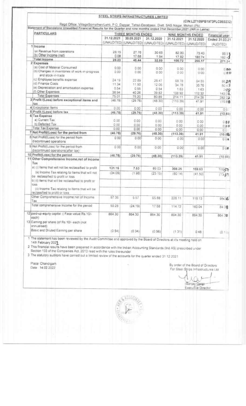| Regd Office: VillageSomalheri/Lehli, P O. Dappar, Tehsil-Derabassi, Distt. SAS Nagar, Mohali (Pb)<br>Statement of Standalone Unaudited Financial Results for the Quarter and nine months ended 31st December, 2021 (INR in Lakhs) |                    |                |                                                   |                         |                   | (CIN:L27109PB1973PLC003232) |
|-----------------------------------------------------------------------------------------------------------------------------------------------------------------------------------------------------------------------------------|--------------------|----------------|---------------------------------------------------|-------------------------|-------------------|-----------------------------|
|                                                                                                                                                                                                                                   |                    |                |                                                   |                         |                   |                             |
| <b>PARTICULARS</b>                                                                                                                                                                                                                | THREE MONTHS ENDED |                |                                                   |                         | NINE MONTHS ENDED | Financial year              |
|                                                                                                                                                                                                                                   | 31.12.2021         | 30.09.2021     | 31.12.2020<br>(UNAUDITED) (UNAUDITED) (UNAUDITED) | 31.12.2021              | 31.12.2020        | Ended 31.03.21              |
| 1 Income                                                                                                                                                                                                                          |                    |                |                                                   | (UNAUDITED) (UNAUDITED) |                   | (AUDITED)                   |
| (a) Revenue from operations                                                                                                                                                                                                       |                    |                |                                                   |                         |                   |                             |
| (b) Other Income (net)                                                                                                                                                                                                            | 28.15<br>0.08      | 27.76          | 30.65                                             | 82.90                   | 75.43             | 88.91                       |
| Total Income                                                                                                                                                                                                                      | 28.23              | 17.68<br>45.44 | 1.94<br>32.59                                     | 17.82                   | 180.74            | 182 43                      |
| 2 Expenses                                                                                                                                                                                                                        |                    |                |                                                   | 100.72                  | 256.17            | 271.34                      |
| (a) Cost of Material Consumed                                                                                                                                                                                                     | 0.00               | 0.00           | 0.00                                              | 0.00                    |                   |                             |
| (b) Changes in inventories of work-in-progress                                                                                                                                                                                    | 0.00               | 0.00           | 0.00                                              | 0.00                    | 0.00<br>000       | 0.66<br>000                 |
| and stock-in-trade                                                                                                                                                                                                                |                    |                |                                                   |                         |                   |                             |
| (c) Employee benefits expense                                                                                                                                                                                                     | 24 19              | 22.89          | 28.47                                             | 68 78                   | 64.55             | 8629                        |
| (d) Finance Costs                                                                                                                                                                                                                 | 11.34              | 11.50          | 12.06                                             | 34.78                   | 35.76             | 50.43                       |
| (e) Depreciation and amortisation expense                                                                                                                                                                                         | 0.54               | 0.55           | 0.54                                              | 1.63                    | 1.63              | $2 - 18$                    |
| (f) Other Expenses                                                                                                                                                                                                                | 38.94              | 40.26          | 39.82                                             | 108.92                  | 112.32            | 143.32                      |
| <b>Total Expenses</b>                                                                                                                                                                                                             | 75.01              | 75.20          | 80.89                                             | 214.11                  | 214.26            | 282 22                      |
| 3 Profit /(Loss) before exceptional items and<br>tax                                                                                                                                                                              | (46.78)            | (29.76)        | (48.30)                                           | (113.39)                | 41.91             | (10.8%                      |
| 4 Exceptional Items                                                                                                                                                                                                               | 0.00               | 0.00           | 0.00                                              | 0.00                    | 0.00              | 0.00                        |
| 5 Profit /(Loss) before tax                                                                                                                                                                                                       | (46.78)            | (29.76)        | (48.30)                                           | (113.39)                | 41.91             | (10.88)                     |
| 6 Tax Expense                                                                                                                                                                                                                     |                    |                |                                                   |                         |                   |                             |
| a) Current Tax                                                                                                                                                                                                                    | 0.00.              | 0.00           | 0.00                                              | 0.00                    | 0.00              | 0.65                        |
| b) Deferred Tax                                                                                                                                                                                                                   | 0.00               | 0.00           | 0.00                                              | 0.00                    | 0.00              | 0.00                        |
| <b>Total Tax Expense</b>                                                                                                                                                                                                          | 0.00               | 0.00           | 0.00                                              | 0.00                    | 0.00              | O G                         |
| 7 Net Profit/(Loss) for the period from                                                                                                                                                                                           | (46.78)            | (29.76)        | (48.30)                                           | (113.39)                | 41.91             | (10.89)                     |
| 8 Net Profit/(Loss) for the period from<br>discontinued operations                                                                                                                                                                | 0.00               | 0.00           | 0.00                                              | 0.00                    | 0.00              | 0.04                        |
| 9 Net Profit/(Loss) for the period from<br>discontinued operations(after tax)                                                                                                                                                     | 0.001              | 0.00           | 0.00                                              | 0.00                    | 0.00              | 0.00                        |
| 10 Profit/(Loss) for the period                                                                                                                                                                                                   | (46.78)            | (29.76)        | (48.30)                                           | (113.39)                | 41.91             | (10.88)                     |
| 11 Other Comprehensive Income, net of Income<br>Tax                                                                                                                                                                               |                    |                |                                                   |                         |                   |                             |
| a) (i) Items that will not be reclassified to profit                                                                                                                                                                              | 131.15             | 7.53           | 89.03                                             | 308.25                  | 159.63            | 10857                       |
| (ii) Income Tax relating to Items that will not<br>be reclassified to profit or loss                                                                                                                                              | (34.09)            | (1.96)         | (23.15)                                           | (80.14)                 | (41.50)           | (1331                       |
| b) (i) items that will be reclassified to profit or<br>loss                                                                                                                                                                       |                    |                |                                                   |                         |                   |                             |
| (ii) Income Tax relating to Items that will be<br>reclassified to profit or loss                                                                                                                                                  |                    |                |                                                   |                         |                   |                             |
| Other Comprehensive Income net of Income<br>Tax                                                                                                                                                                                   | 97.06              | 5.57           | 65.88                                             | 228.11                  | 118.13            | 95-26                       |
| Total comprehensive Income for the period                                                                                                                                                                                         | 50.28              | (24.19)        | 17.58                                             | 114.72                  | 160.04            | 8438                        |
| 12 paid-up equity capital :( Face value Rs. 10/-<br>each)<br>13 Earning per share (of Rs 10/- each (not                                                                                                                           | 864.30             | 864.30         | 864.30                                            | 864.30                  | 864.30            | 864.30                      |
| annualised)<br>Basic and Diluted Earning per share                                                                                                                                                                                | (0.54)             | (0.34)         | (0.56)                                            | (131)                   | 0.48              | (0.13)                      |

1 The statement has been reviewed by the Audit Committee and approved by the Board of Directors at it's meeting held on 1 The statement has been reviewed by the much behinder the indian Accounting Standards (Ind AS) prescribed under<br>2 This financial results have been prepared in accordance with the Indian Accounting Standards (Ind AS) presc

3 The statutory auditors have carried out a limited review of the accounts for the quarter ended 31 12 2021

Place Chandigarh<br>Date 14.02.2022

By order of the Board of Directors For Steel Strips Infrastructures Ltd

(Sanjay Garg)  $\alpha$ 

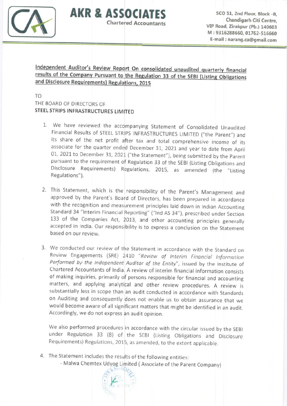

 $AKR$  &  $ASSOCIATES$  sco 51, 2nd Floor, Block -B, Chandigarh Citi Centre, VIP Road, Zirakpur (pb.) 140603 M : 9316288660, 017E2-518660 E-mail : narang.ca@gmai!.com

Independent Auditor's Review Report On consolidated unaudited quarterly financial results of the Company Pursuant to the Regulation 33 of the SEBI (Listing Obligations and Disclosure Requirements) Regulations, 2015

**Chartered Accountants** 

TO THE BOARD OF DIRECTORS OF STEEL STRIPS INFRASTRUCTURES LIMITED

- 01, 2021 to December 31, 2021 ("the Statement"), being submitted by the Parent 1. We have reviewed the accompanying Statement of Consolidated Unaudited<br>Financial Results of STEEL STRIPS INFRASTRUCTURES LIMITED ("the Parent") and its share of the net profit after tax and total comprehensive income of its associate for the quarter ended December 31, 2021 and year to date from April pursuant to the requirement of Regulation 33 of the SEBI (Listing Obligations and Disclosure Requirements) Regulations, 2015, as amended (the "Listing Regulations").
- 2. This Statement, which is the responsibility of the Parent's Management and approved by the Parent's Board of Directors, has been prepared in accordance with the recognition and measurement principles laid down in Indian Accounting Standard 34 "Interim Financial Reporting" ("Ind AS 34"), prescribed under Section 133 of the Companies Act, 2013, and other accounting principles generally accepted in India. Our responsibility is to express a conclusion on the Statement based on our review.
- 3. We conducted our review of the Statement in accordance with the Standard on Review Engagements (SRE) 2410 "Review of Interim Financial Information Performed by the Independent Auditor of the Entity", issued by the Institute of Chartered Accountants of lndia A review of interim financial inforrnation consists of making inquiries, primarily of persons responsible for financial and accounting matters, and applying analytical and other review procedures. A review is substantially less in scope than an audit conducted in accordance with Standards on Auditing and consequently does not enable us to obtain assurance that we would become aware of all significant matters that might be identified in an audit. Accordingly, we do not express an audit opinion.

We also performed procedures in accordance with the circular issued by the SEBI under Regulation 33 (8) of the SEBI (Listing Obligations and Disclosure Requirements) Regulations, 2015, as amended, to the extent applicable

4. The Statement includes the results of the following entities:

- Malwa Chemtex Udyog Limited (Associate of the Parent Company)

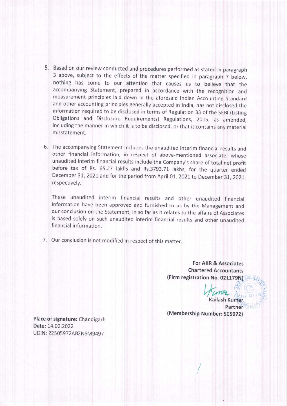- 5. Based on our review conducted and procedures performed as stated in paragraph 3 above, subject to the effects of the matter specified in paragraph 7 below nothing has come to our attention that causes us to believe that the accompanying Statement, prepared in accordance with the recognition and measurement principles laid down in the aforesaid Indian Accounting Standard and other accounting principles generally accepted in India, has not disclosed the information required to be disclosed in terms of Regulation 33 of the SEBI (Listing Obligations and Disclosure Requirements) Regulations, 2015, as amended including the manner in which it is to be disclosed, or that it contains any materia misstatement.
- 6. The accompanying Statement includes the unaudited interim financial results and other financial information, in respect of above-mentioned associate, whose unaudited interim financial results include the Company's share of total net profit before tax of Rs. 65.27 lakhs and Rs.3793.71 lakhs, for the quarter ended December 31, 2021 and for the period from April 01, 2021 to December 31, 2021, respectively.

These unaudited interim fi ancial results and other unaudited financial information have been approved and furnished to us by the Management and our conclusion on the Statement, in so far as it relates to the affairs of Associates is based solely on such unaudited interim financial results and other unaudited financial information,

7. Our conclusion is not modified in respect of this matter.

For AKR & Associates Chartered Accountants (Firm registration No. 021179N)

 $U_{\text{max}}$ :

 $\iota$ 

Kailash Kumar Partner (Membership Number: 505972)

Place of signature: Chandigarh Date: 14.02.2022 UDIN: 22505972ABZNSM9497